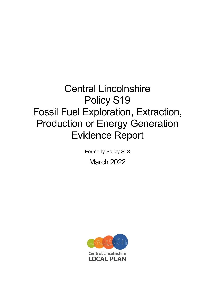# Central Lincolnshire Policy S19 Fossil Fuel Exploration, Extraction, Production or Energy Generation Evidence Report

Formerly Policy S18

March 2022

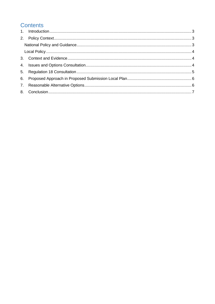# **Contents**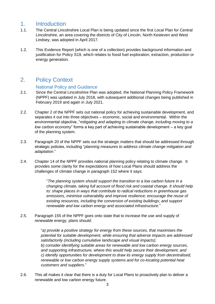#### <span id="page-2-0"></span>1. Introduction

- 1.1. The Central Lincolnshire Local Plan is being updated since the first Local Plan for Central Lincolnshire, an area covering the districts of City of Lincoln, North Kesteven and West Lindsey, was adopted in April 2017.
- 1.2. This Evidence Report (which is one of a collection) provides background information and justification for Policy S19, which relates to fossil fuel exploration, extraction, production or energy generation.

## <span id="page-2-1"></span>2. Policy Context

#### National Policy and Guidance

- <span id="page-2-2"></span>2.1. Since the Central Lincolnshire Plan was adopted, the National Planning Policy Framework (NPPF) was updated in July 2018, with subsequent additional changes being published in February 2019 and again in July 2021.
- 2.2. Chapter 2 of the NPPF sets out national policy for achieving sustainable development, and separates it out into three objectives – economic, social and environmental. Within the environmental objective, "*mitigating and adapting to climate change, including moving to a low carbon economy*" forms a key part of achieving sustainable development – a key goal of the planning system.
- 2.3. Paragraph 20 of the NPPF sets out the strategic matters that should be addressed through strategic policies, including "*planning measures to address climate change mitigation and adaptation*."
- 2.4. Chapter 14 of the NPPF provides national planning policy relating to climate change. It provides some clarity for the expectations of how Local Plans should address the challenges of climate change in paragraph 152 where it says:

"*The planning system should support the transition to a low carbon future in a changing climate, taking full account of flood risk and coastal change. It should help to: shape places in ways that contribute to radical reductions in greenhouse gas emissions, minimise vulnerability and improve resilience; encourage the reuse of existing resources, including the conversion of existing buildings; and support renewable and low carbon energy and associated infrastructure.*"

2.5. Paragraph 155 of the NPPF goes onto state that to increase the use and supply of renewable energy, plans should:

> "*a) provide a positive strategy for energy from these sources, that maximises the potential for suitable development, while ensuring that adverse impacts are addressed satisfactorily (including cumulative landscape and visual impacts); b) consider identifying suitable areas for renewable and low carbon energy sources, and supporting infrastructure, where this would help secure their development; and c) identify opportunities for development to draw its energy supply from decentralised, renewable or low carbon energy supply systems and for co-locating potential heat customers and suppliers.*"

2.6. This all makes it clear that there is a duty for Local Plans to proactively plan to deliver a renewable and low carbon energy future.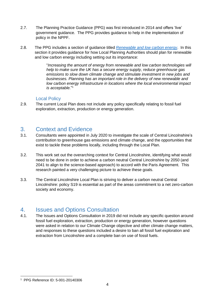- 2.7. The Planning Practice Guidance (PPG) was first introduced in 2014 and offers 'live' government guidance. The PPG provides guidance to help in the implementation of policy in the NPPF.
- 2.8. The PPG includes a section of guidance titled *[Renewable and low carbon energy](https://www.gov.uk/guidance/renewable-and-low-carbon-energy)*. In this section it provides guidance for how Local Planning Authorities should plan for renewable and low carbon energy including setting out its importance:

"*Increasing the amount of energy from renewable and low carbon technologies will help to make sure the UK has a secure energy supply, reduce greenhouse gas emissions to slow down climate change and stimulate investment in new jobs and businesses. Planning has an important role in the delivery of new renewable and low carbon energy infrastructure in locations where the local environmental impact is acceptable.*" 1

#### Local Policy

<span id="page-3-0"></span>2.9. The current Local Plan does not include any policy specifically relating to fossil fuel exploration, extraction, production or energy generation.

#### <span id="page-3-1"></span>3. Context and Evidence

- 3.1. Consultants were appointed in July 2020 to investigate the scale of Central Lincolnshire's contribution to greenhouse gas emissions and climate change, and the opportunities that exist to tackle these problems locally, including through the Local Plan.
- 3.2. This work set out the overarching context for Central Lincolnshire, identifying what would need to be done in order to achieve a carbon neutral Central Lincolnshire by 2050 (and 2041 to align to the science-based approach) to accord with the Paris Agreement. This research painted a very challenging picture to achieve these goals.
- 3.3. The Central Lincolnshire Local Plan is striving to deliver a carbon neutral Central Lincolnshire: policy S19 is essential as part of the areas commitment to a net zero-carbon society and economy.

#### <span id="page-3-2"></span>4. Issues and Options Consultation

4.1. The Issues and Options Consultation in 2019 did not include any specific question around fossil fuel exploration, extraction, production or energy generation, however questions were asked in relation to our Climate Change objective and other climate change matters, and responses to these questions included a desire to ban all fossil fuel exploration and extraction from Lincolnshire and a complete ban on use of fossil fuels.

<sup>1</sup> PPG Reference ID: 5-001-20140306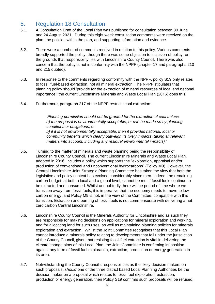## <span id="page-4-0"></span>5. Regulation 18 Consultation

- 5.1. A Consultation Draft of the Local Plan was published for consultation between 30 June and 24 August 2021. During this eight week consultation comments were received on the plan, the policies within the plan, and supporting information and evidence.
- 5.2. There were a number of comments received in relation to this policy. Various comments broadly supported the policy, though there was some objection to inclusion of policy, on the grounds that responsibility lies with Lincolnshire County Council. There was also concern that the policy is not in conformity with the NPPF (chapter 17 and paragraphs 210 and 215 quoted).
- 5.3. In response to the comments regarding conformity with the NPPF, policy S19 only relates to fossil fuel-based extraction, not all mineral extraction. The NPPF stipulates that planning policy should 'provide for the extraction of mineral resources of local and national importance': the current Lincolnshire Minerals and Waste Local Plan (2016) does this.
- 5.4. Furthermore, paragraph 217 of the NPPF restricts coal extraction:

*'Planning permission should not be granted for the extraction of coal unless: a) the proposal is environmentally acceptable, or can be made so by planning conditions or obligations; or b) if it is not environmentally acceptable, then it provides national, local or community benefits which clearly outweigh its likely impacts (taking all relevant matters into account, including any residual environmental impacts).'*

- 5.5. Turning to the matter of minerals and waste planning being the responsibility of Lincolnshire County Council. The current Lincolnshire Minerals and Waste Local Plan, adopted in 2016, includes a policy which supports the "exploration, appraisal and/or production of conventional and unconventional hydrocarbons" (Policy M9). However, the Central Lincolnshire Joint Strategic Planning Committee has taken the view that both the legislative and policy context has evolved considerably since then. Indeed, the remaining carbon budget, at both a local and a global level, cannot be met if fossil fuels continue to be extracted and consumed. Whilst undoubtedly there will be period of time where we transition away from fossil fuels, it is imperative that the economy needs to move to low carbon energy, and Policy M9 is not, in the view of the Committee, compatible with this transition. Extraction and burning of fossil fuels is not commensurate with delivering a net zero carbon Central Lincolnshire.
- 5.6. Lincolnshire County Council is the Minerals Authority for Lincolnshire and as such they are responsible for making decisions on applications for mineral exploration and working, and for allocating land for such uses, as well as maintaining planning policies for minerals exploration and extraction. Whilst the Joint Committee recognises that this Local Plan cannot introduce a minerals policy relating to developments that fall under the jurisdiction of the County Council, given that resisting fossil fuel extraction is vital in delivering the climate change aims of this Local Plan, the Joint Committee is confirming its position against any form of fossil fuel exploration, extraction, production or energy generation in its area.
- 5.7. Notwithstanding the County Council's responsibilities as the likely decision makers on such proposals, *should* one of the three district based Local Planning Authorities be the decision maker on a proposal which relates to fossil fuel exploration, extraction, production or energy generation, then Policy S19 confirms such proposals will be refused.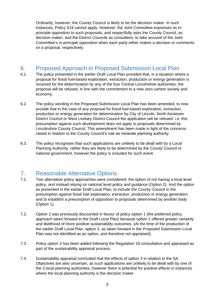Ordinarily, however, the County Council is likely to be the decision maker. In such instances, Policy S19 cannot apply. However, the Joint Committee expresses its inprinciple opposition to such proposals, and respectfully asks the County Council, as decision maker, and the District Councils as consultees, to take account of the Joint Committee's in-principle opposition when each party either makes a decision or comments on a proposal, respectively.

# <span id="page-5-0"></span>6. Proposed Approach in Proposed Submission Local Plan

- 6.1. The policy presented in the earlier Draft Local Plan provided that, in a situation where a proposal for fossil fuel-based exploration, extraction, production or energy generation is received for the determination by any of the four Central Lincolnshire authorities, the proposal will be refused, in line with the commitment to a new zero-carbon society and economy.
- 6.2. The policy wording in the Proposed Submission Local Plan has been amended, to now provide that in the case of any proposal for fossil fuel-based exploration, extraction, production or energy generation for determination by City of Lincoln, North Kesteven District Council or West Lindsey District Council the application will be refused: i.e. this presumption against such development does not apply to proposals determined by Lincolnshire County Council. This amendment has been made in light of the concerns raised in relation to the County Council's role as minerals planning authority.
- 6.3. The policy recognises that such applications are unlikely to be dealt with by a Local Planning Authority, rather they are likely to be determined by the County Council or national government, however the policy is included for such event.

### <span id="page-5-1"></span>7. Reasonable Alternative Options

- 7.1. Two alternative policy approaches were considered: the option of not having a local level policy, and instead relying on national level policy and guidance (Option 2). And the option as presented in the earlier Draft Local Plan, to include the County Council in the presumption against fossil fuel exploration, extraction, production or energy generation and to establish a presumption of opposition to proposals determined by another body (Option 1).
- 7.2. Option 2 was previously discounted in favour of policy option 1 (the preferred policy approach taken forward in the Draft Local Plan) because option 1 offered greater certainty and likelihood of more positive sustainability outcomes. (At the time of the production of the earlier Draft Local Plan, option 3, as taken forward in the Proposed Submission Local Plan was not identified as an option, and therefore not appraised).
- 7.3. Policy option 3 has been added following the Regulation 18 consultation and appraised as part of the sustainability appraisal process.
- 7.4. Sustainability appraisal concluded that the effects of option 3 in relation to the SA Objectives are also uncertain, as such applications are unlikely to be dealt with by one of the 3 local planning authorities, however there is potential for positive effects in instances where the local planning authority is the decision maker.